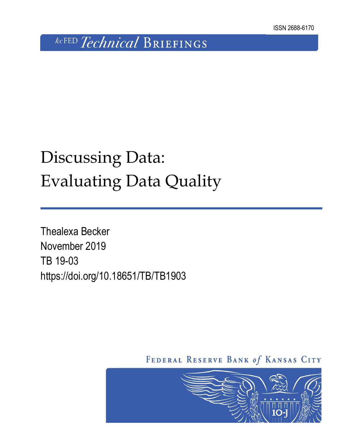# **kcFED** Technical BRIEFINGS

# Discussing Data: Evaluating Data Quality

Thealexa Becker November 2019 TB 19-03 https://doi.org/10.18651/TB/TB1903

FEDERAL RESERVE BANK of KANSAS CITY

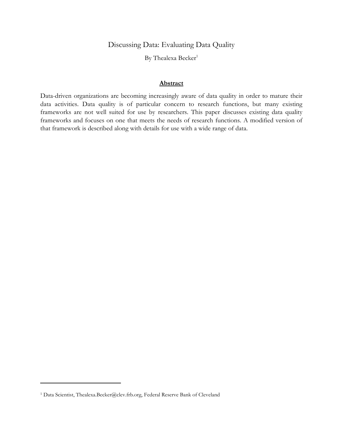Discussing Data: Evaluating Data Quality

By Thealexa Becker<sup>1</sup>

# **Abstract**

Data-driven organizations are becoming increasingly aware of data quality in order to mature their data activities. Data quality is of particular concern to research functions, but many existing frameworks are not well suited for use by researchers. This paper discusses existing data quality frameworks and focuses on one that meets the needs of research functions. A modified version of that framework is described along with details for use with a wide range of data.

 $\overline{a}$ 

<sup>1</sup> Data Scientist, Thealexa.Becker@clev.frb.org, Federal Reserve Bank of Cleveland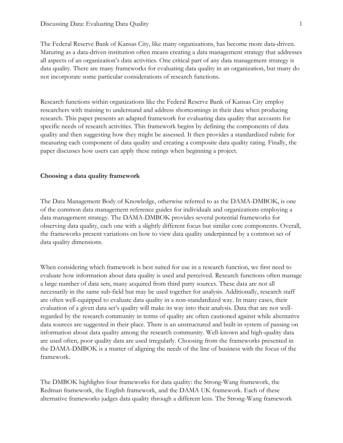The Federal Reserve Bank of Kansas City, like many organizations, has become more data-driven. Maturing as a data-driven institution often means creating a data management strategy that addresses all aspects of an organization's data activities. One critical part of any data management strategy is data quality. There are many frameworks for evaluating data quality in an organization, but many do not incorporate some particular considerations of research functions.

Research functions within organizations like the Federal Reserve Bank of Kansas City employ researchers with training to understand and address shortcomings in their data when producing research. This paper presents an adapted framework for evaluating data quality that accounts for specific needs of research activities. This framework begins by defining the components of data quality and then suggesting how they might be assessed. It then provides a standardized rubric for measuring each component of data quality and creating a composite data quality rating. Finally, the paper discusses how users can apply these ratings when beginning a project.

#### **Choosing a data quality framework**

The Data Management Body of Knowledge, otherwise referred to as the DAMA-DMBOK, is one of the common data management reference guides for individuals and organizations employing a data management strategy. The DAMA-DMBOK provides several potential frameworks for observing data quality, each one with a slightly different focus but similar core components. Overall, the frameworks present variations on how to view data quality underpinned by a common set of data quality dimensions.

When considering which framework is best suited for use in a research function, we first need to evaluate how information about data quality is used and perceived. Research functions often manage a large number of data sets, many acquired from third party sources. These data are not all necessarily in the same sub-field but may be used together for analysis. Additionally, research staff are often well-equipped to evaluate data quality in a non-standardized way. In many cases, their evaluation of a given data set's quality will make its way into their analysis. Data that are not wellregarded by the research community in terms of quality are often cautioned against while alternative data sources are suggested in their place. There is an unstructured and built-in system of passing on information about data quality among the research community. Well-known and high-quality data are used often, poor quality data are used irregularly. Choosing from the frameworks presented in the DAMA-DMBOK is a matter of aligning the needs of the line of business with the focus of the framework.

The DMBOK highlights four frameworks for data quality: the Strong-Wang framework, the Redman framework, the English framework, and the DAMA UK framework. Each of these alternative frameworks judges data quality through a different lens. The Strong-Wang framework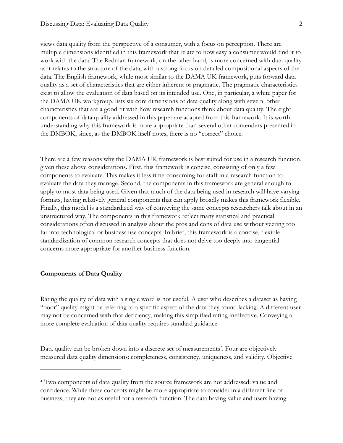views data quality from the perspective of a consumer, with a focus on perception. There are multiple dimensions identified in this framework that relate to how easy a consumer would find it to work with the data. The Redman framework, on the other hand, is more concerned with data quality as it relates to the structure of the data, with a strong focus on detailed compositional aspects of the data. The English framework, while most similar to the DAMA UK framework, puts forward data quality as a set of characteristics that are either inherent or pragmatic. The pragmatic characteristics exist to allow the evaluation of data based on its intended use. One, in particular, a white paper for the DAMA UK workgroup, lists six core dimensions of data quality along with several other characteristics that are a good fit with how research functions think about data quality. The eight components of data quality addressed in this paper are adapted from this framework. It is worth understanding why this framework is more appropriate than several other contenders presented in the DMBOK, since, as the DMBOK itself notes, there is no "correct" choice.

There are a few reasons why the DAMA UK framework is best suited for use in a research function, given these above considerations. First, this framework is concise, consisting of only a few components to evaluate. This makes it less time-consuming for staff in a research function to evaluate the data they manage. Second, the components in this framework are general enough to apply to most data being used. Given that much of the data being used in research will have varying formats, having relatively general components that can apply broadly makes this framework flexible. Finally, this model is a standardized way of conveying the same concepts researchers talk about in an unstructured way. The components in this framework reflect many statistical and practical considerations often discussed in analysis about the pros and cons of data use without veering too far into technological or business use concepts. In brief, this framework is a concise, flexible standardization of common research concepts that does not delve too deeply into tangential concerns more appropriate for another business function.

#### **Components of Data Quality**

 $\overline{a}$ 

Rating the quality of data with a single word is not useful. A user who describes a dataset as having "poor" quality might be referring to a specific aspect of the data they found lacking. A different user may not be concerned with that deficiency, making this simplified rating ineffective. Conveying a more complete evaluation of data quality requires standard guidance.

Data quality can be broken down into a discrete set of measurements<sup>2</sup>. Four are objectively measured data quality dimensions: completeness, consistency, uniqueness, and validity. Objective

<sup>&</sup>lt;sup>2</sup> Two components of data quality from the source framework are not addressed: value and confidence. While these concepts might be more appropriate to consider in a different line of business, they are not as useful for a research function. The data having value and users having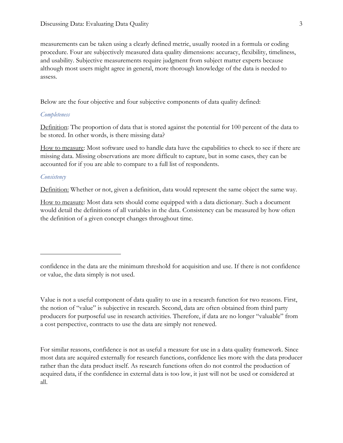measurements can be taken using a clearly defined metric, usually rooted in a formula or coding procedure. Four are subjectively measured data quality dimensions: accuracy, flexibility, timeliness, and usability. Subjective measurements require judgment from subject matter experts because although most users might agree in general, more thorough knowledge of the data is needed to assess.

Below are the four objective and four subjective components of data quality defined:

#### *Completeness*

Definition: The proportion of data that is stored against the potential for 100 percent of the data to be stored. In other words, is there missing data?

How to measure: Most software used to handle data have the capabilities to check to see if there are missing data. Missing observations are more difficult to capture, but in some cases, they can be accounted for if you are able to compare to a full list of respondents.

#### *Consistency*

 $\overline{a}$ 

Definition: Whether or not, given a definition, data would represent the same object the same way.

How to measure: Most data sets should come equipped with a data dictionary. Such a document would detail the definitions of all variables in the data. Consistency can be measured by how often the definition of a given concept changes throughout time.

Value is not a useful component of data quality to use in a research function for two reasons. First, the notion of "value" is subjective in research. Second, data are often obtained from third party producers for purposeful use in research activities. Therefore, if data are no longer "valuable" from a cost perspective, contracts to use the data are simply not renewed.

For similar reasons, confidence is not as useful a measure for use in a data quality framework. Since most data are acquired externally for research functions, confidence lies more with the data producer rather than the data product itself. As research functions often do not control the production of acquired data, if the confidence in external data is too low, it just will not be used or considered at all.

confidence in the data are the minimum threshold for acquisition and use. If there is not confidence or value, the data simply is not used.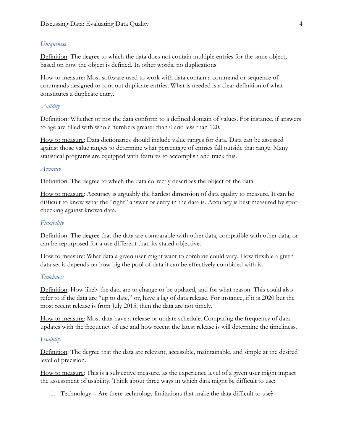# *Uniqueness*

Definition: The degree to which the data does not contain multiple entries for the same object, based on how the object is defined. In other words, no duplications.

How to measure: Most software used to work with data contain a command or sequence of commands designed to root out duplicate entries. What is needed is a clear definition of what constitutes a duplicate entry.

# *Validity*

Definition: Whether or not the data conform to a defined domain of values. For instance, if answers to age are filled with whole numbers greater than 0 and less than 120.

How to measure: Data dictionaries should include value ranges for data. Data can be assessed against those value ranges to determine what percentage of entries fall outside that range. Many statistical programs are equipped with features to accomplish and track this.

# *Accuracy*

Definition: The degree to which the data correctly describes the object of the data.

How to measure: Accuracy is arguably the hardest dimension of data quality to measure. It can be difficult to know what the "right" answer or entry in the data is. Accuracy is best measured by spotchecking against known data.

# *Flexibility*

Definition: The degree that the data are comparable with other data, compatible with other data, or can be repurposed for a use different than its stated objective.

How to measure: What data a given user might want to combine could vary. How flexible a given data set is depends on how big the pool of data it can be effectively combined with is.

# *Timeliness*

Definition: How likely the data are to change or be updated, and for what reason. This could also refer to if the data are "up to date," or, have a lag of data release. For instance, if it is 2020 but the most recent release is from July 2015, then the data are not timely.

How to measure: Most data have a release or update schedule. Comparing the frequency of data updates with the frequency of use and how recent the latest release is will determine the timeliness.

# *Usability*

Definition: The degree that the data are relevant, accessible, maintainable, and simple at the desired level of precision.

How to measure: This is a subjective measure, as the experience level of a given user might impact the assessment of usability. Think about three ways in which data might be difficult to use:

1. Technology – Are there technology limitations that make the data difficult to use?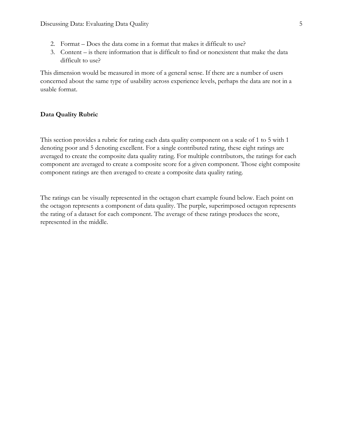- 2. Format Does the data come in a format that makes it difficult to use?
- 3. Content is there information that is difficult to find or nonexistent that make the data difficult to use?

This dimension would be measured in more of a general sense. If there are a number of users concerned about the same type of usability across experience levels, perhaps the data are not in a usable format.

# **Data Quality Rubric**

This section provides a rubric for rating each data quality component on a scale of 1 to 5 with 1 denoting poor and 5 denoting excellent. For a single contributed rating, these eight ratings are averaged to create the composite data quality rating. For multiple contributors, the ratings for each component are averaged to create a composite score for a given component. Those eight composite component ratings are then averaged to create a composite data quality rating.

The ratings can be visually represented in the octagon chart example found below. Each point on the octagon represents a component of data quality. The purple, superimposed octagon represents the rating of a dataset for each component. The average of these ratings produces the score, represented in the middle.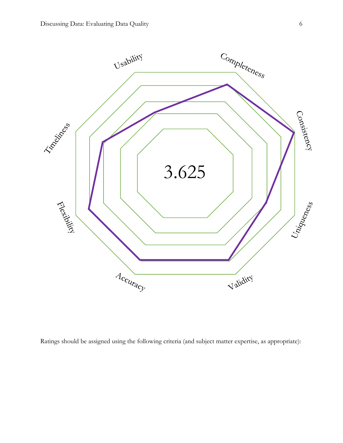

Ratings should be assigned using the following criteria (and subject matter expertise, as appropriate):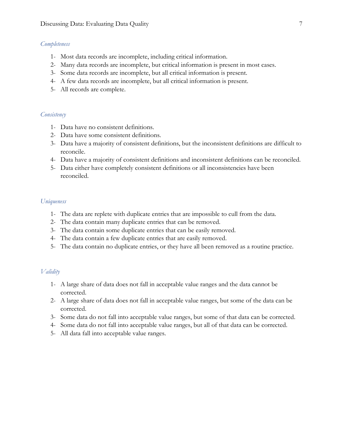#### *Completeness*

- 1- Most data records are incomplete, including critical information.
- 2- Many data records are incomplete, but critical information is present in most cases.
- 3- Some data records are incomplete, but all critical information is present.
- 4- A few data records are incomplete, but all critical information is present.
- 5- All records are complete.

#### *Consistency*

- 1- Data have no consistent definitions.
- 2- Data have some consistent definitions.
- 3- Data have a majority of consistent definitions, but the inconsistent definitions are difficult to reconcile.
- 4- Data have a majority of consistent definitions and inconsistent definitions can be reconciled.
- 5- Data either have completely consistent definitions or all inconsistencies have been reconciled.

#### *Uniqueness*

- 1- The data are replete with duplicate entries that are impossible to cull from the data.
- 2- The data contain many duplicate entries that can be removed.
- 3- The data contain some duplicate entries that can be easily removed.
- 4- The data contain a few duplicate entries that are easily removed.
- 5- The data contain no duplicate entries, or they have all been removed as a routine practice.

#### *Validity*

- 1- A large share of data does not fall in acceptable value ranges and the data cannot be corrected.
- 2- A large share of data does not fall in acceptable value ranges, but some of the data can be corrected.
- 3- Some data do not fall into acceptable value ranges, but some of that data can be corrected.
- 4- Some data do not fall into acceptable value ranges, but all of that data can be corrected.
- 5- All data fall into acceptable value ranges.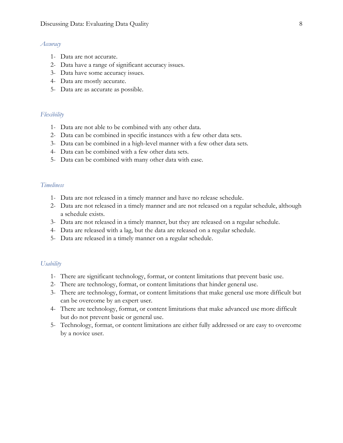#### *Accuracy*

- 1- Data are not accurate.
- 2- Data have a range of significant accuracy issues.
- 3- Data have some accuracy issues.
- 4- Data are mostly accurate.
- 5- Data are as accurate as possible.

# *Flexibility*

- 1- Data are not able to be combined with any other data.
- 2- Data can be combined in specific instances with a few other data sets.
- 3- Data can be combined in a high-level manner with a few other data sets.
- 4- Data can be combined with a few other data sets.
- 5- Data can be combined with many other data with ease.

# *Timeliness*

- 1- Data are not released in a timely manner and have no release schedule.
- 2- Data are not released in a timely manner and are not released on a regular schedule, although a schedule exists.
- 3- Data are not released in a timely manner, but they are released on a regular schedule.
- 4- Data are released with a lag, but the data are released on a regular schedule.
- 5- Data are released in a timely manner on a regular schedule.

#### *Usability*

- 1- There are significant technology, format, or content limitations that prevent basic use.
- 2- There are technology, format, or content limitations that hinder general use.
- 3- There are technology, format, or content limitations that make general use more difficult but can be overcome by an expert user.
- 4- There are technology, format, or content limitations that make advanced use more difficult but do not prevent basic or general use.
- 5- Technology, format, or content limitations are either fully addressed or are easy to overcome by a novice user.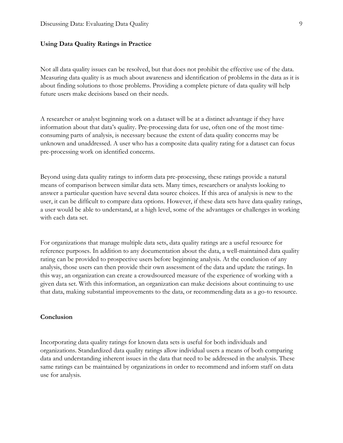#### **Using Data Quality Ratings in Practice**

Not all data quality issues can be resolved, but that does not prohibit the effective use of the data. Measuring data quality is as much about awareness and identification of problems in the data as it is about finding solutions to those problems. Providing a complete picture of data quality will help future users make decisions based on their needs.

A researcher or analyst beginning work on a dataset will be at a distinct advantage if they have information about that data's quality. Pre-processing data for use, often one of the most timeconsuming parts of analysis, is necessary because the extent of data quality concerns may be unknown and unaddressed. A user who has a composite data quality rating for a dataset can focus pre-processing work on identified concerns.

Beyond using data quality ratings to inform data pre-processing, these ratings provide a natural means of comparison between similar data sets. Many times, researchers or analysts looking to answer a particular question have several data source choices. If this area of analysis is new to the user, it can be difficult to compare data options. However, if these data sets have data quality ratings, a user would be able to understand, at a high level, some of the advantages or challenges in working with each data set.

For organizations that manage multiple data sets, data quality ratings are a useful resource for reference purposes. In addition to any documentation about the data, a well-maintained data quality rating can be provided to prospective users before beginning analysis. At the conclusion of any analysis, those users can then provide their own assessment of the data and update the ratings. In this way, an organization can create a crowdsourced measure of the experience of working with a given data set. With this information, an organization can make decisions about continuing to use that data, making substantial improvements to the data, or recommending data as a go-to resource.

# **Conclusion**

Incorporating data quality ratings for known data sets is useful for both individuals and organizations. Standardized data quality ratings allow individual users a means of both comparing data and understanding inherent issues in the data that need to be addressed in the analysis. These same ratings can be maintained by organizations in order to recommend and inform staff on data use for analysis.